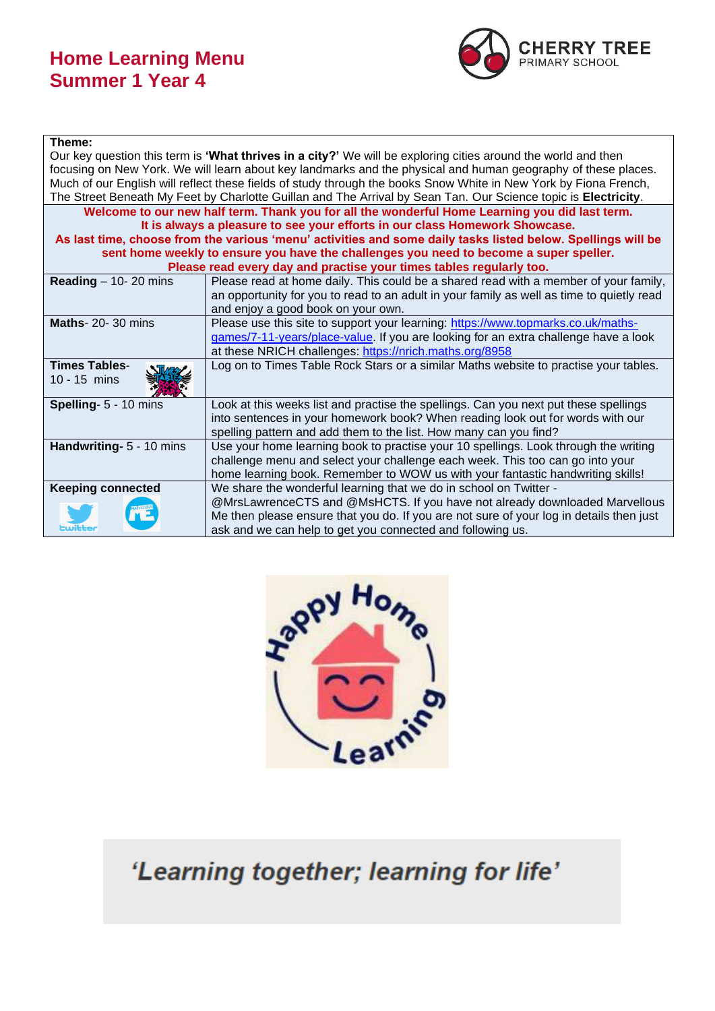## **Home Learning Menu Summer 1 Year 4**



## **Theme:**

| Our key question this term is 'What thrives in a city?' We will be exploring cities around the world and then    |                                                                                           |  |
|------------------------------------------------------------------------------------------------------------------|-------------------------------------------------------------------------------------------|--|
| focusing on New York. We will learn about key landmarks and the physical and human geography of these places.    |                                                                                           |  |
| Much of our English will reflect these fields of study through the books Snow White in New York by Fiona French, |                                                                                           |  |
| The Street Beneath My Feet by Charlotte Guillan and The Arrival by Sean Tan. Our Science topic is Electricity.   |                                                                                           |  |
| Welcome to our new half term. Thank you for all the wonderful Home Learning you did last term.                   |                                                                                           |  |
| It is always a pleasure to see your efforts in our class Homework Showcase.                                      |                                                                                           |  |
| As last time, choose from the various 'menu' activities and some daily tasks listed below. Spellings will be     |                                                                                           |  |
| sent home weekly to ensure you have the challenges you need to become a super speller.                           |                                                                                           |  |
| Please read every day and practise your times tables regularly too.                                              |                                                                                           |  |
| Reading $-$ 10- 20 mins                                                                                          | Please read at home daily. This could be a shared read with a member of your family,      |  |
|                                                                                                                  | an opportunity for you to read to an adult in your family as well as time to quietly read |  |
|                                                                                                                  | and enjoy a good book on your own.                                                        |  |
| <b>Maths-20-30 mins</b>                                                                                          | Please use this site to support your learning: https://www.topmarks.co.uk/maths-          |  |
|                                                                                                                  | games/7-11-years/place-value. If you are looking for an extra challenge have a look       |  |
|                                                                                                                  | at these NRICH challenges: https://nrich.maths.org/8958                                   |  |
| <b>Times Tables-</b>                                                                                             | Log on to Times Table Rock Stars or a similar Maths website to practise your tables.      |  |
| $10 - 15$ mins                                                                                                   |                                                                                           |  |
|                                                                                                                  |                                                                                           |  |
| Spelling- 5 - 10 mins                                                                                            | Look at this weeks list and practise the spellings. Can you next put these spellings      |  |
|                                                                                                                  | into sentences in your homework book? When reading look out for words with our            |  |
|                                                                                                                  | spelling pattern and add them to the list. How many can you find?                         |  |
| Handwriting- 5 - 10 mins                                                                                         | Use your home learning book to practise your 10 spellings. Look through the writing       |  |
|                                                                                                                  | challenge menu and select your challenge each week. This too can go into your             |  |
|                                                                                                                  | home learning book. Remember to WOW us with your fantastic handwriting skills!            |  |
| <b>Keeping connected</b>                                                                                         | We share the wonderful learning that we do in school on Twitter -                         |  |
|                                                                                                                  | @MrsLawrenceCTS and @MsHCTS. If you have not already downloaded Marvellous                |  |
|                                                                                                                  | Me then please ensure that you do. If you are not sure of your log in details then just   |  |
| Ewitter                                                                                                          | ask and we can help to get you connected and following us.                                |  |



'Learning together; learning for life'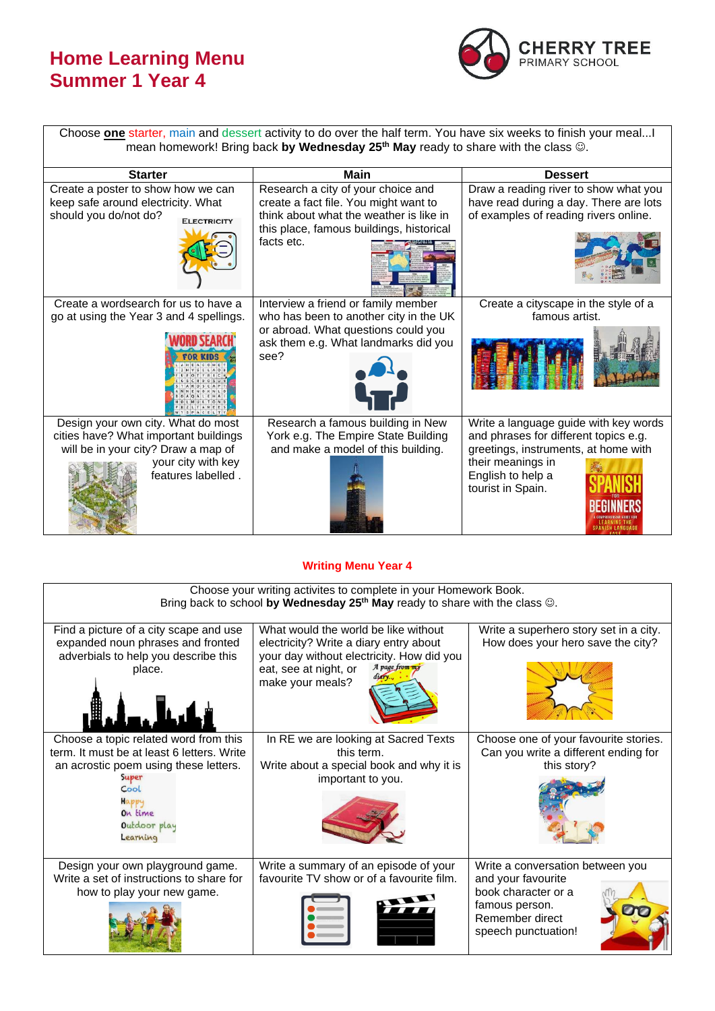## **Home Learning Menu Summer 1 Year 4**



Choose **one** starter, main and dessert activity to do over the half term. You have six weeks to finish your meal...I mean homework! Bring back **by Wednesday 25th May** ready to share with the class ☺.

| <b>Starter</b>                                                                                                                                                 | Main                                                                                                                                                                             | <b>Dessert</b>                                                                                                                                                                        |  |
|----------------------------------------------------------------------------------------------------------------------------------------------------------------|----------------------------------------------------------------------------------------------------------------------------------------------------------------------------------|---------------------------------------------------------------------------------------------------------------------------------------------------------------------------------------|--|
| Create a poster to show how we can<br>keep safe around electricity. What<br>should you do/not do?<br><b>ELECTRICITY</b>                                        | Research a city of your choice and<br>create a fact file. You might want to<br>think about what the weather is like in<br>this place, famous buildings, historical<br>facts etc. | Draw a reading river to show what you<br>have read during a day. There are lots<br>of examples of reading rivers online.                                                              |  |
| Create a wordsearch for us to have a<br>go at using the Year 3 and 4 spellings.                                                                                | Interview a friend or family member<br>who has been to another city in the UK<br>or abroad. What questions could you<br>ask them e.g. What landmarks did you<br>see?             | Create a cityscape in the style of a<br>famous artist.                                                                                                                                |  |
| Design your own city. What do most<br>cities have? What important buildings<br>will be in your city? Draw a map of<br>your city with key<br>features labelled. | Research a famous building in New<br>York e.g. The Empire State Building<br>and make a model of this building.                                                                   | Write a language guide with key words<br>and phrases for different topics e.g.<br>greetings, instruments, at home with<br>their meanings in<br>English to help a<br>tourist in Spain. |  |

## **Writing Menu Year 4**